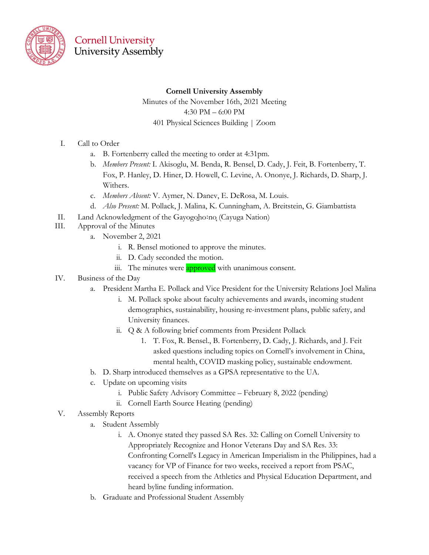

## **Cornell University** University Assembly

#### **Cornell University Assembly**

Minutes of the November 16th, 2021 Meeting 4:30 PM – 6:00 PM 401 Physical Sciences Building | Zoom

- I. Call to Order
	- a. B. Fortenberry called the meeting to order at 4:31pm.
	- b. *Members Present:* I. Akisoglu, M. Benda, R. Bensel, D. Cady, J. Feit, B. Fortenberry, T. Fox, P. Hanley, D. Hiner, D. Howell, C. Levine, A. Ononye, J. Richards, D. Sharp, J. Withers.
	- c. *Members Absent:* V. Aymer, N. Danev, E. DeRosa, M. Louis.
	- d. *Also Present:* M. Pollack, J. Malina, K. Cunningham, A. Breitstein, G. Giambattista
- II. Land Acknowledgment of the Gayogoho:no (Cayuga Nation)
- III. Approval of the Minutes
	- a. November 2, 2021
		- i. R. Bensel motioned to approve the minutes.
		- ii. D. Cady seconded the motion.
		- iii. The minutes were approved with unanimous consent.
- IV. Business of the Day
	- a. President Martha E. Pollack and Vice President for the University Relations Joel Malina
		- i. M. Pollack spoke about faculty achievements and awards, incoming student demographics, sustainability, housing re-investment plans, public safety, and University finances.
		- ii. Q & A following brief comments from President Pollack
			- 1. T. Fox, R. Bensel., B. Fortenberry, D. Cady, J. Richards, and J. Feit asked questions including topics on Cornell's involvement in China, mental health, COVID masking policy, sustainable endowment.
	- b. D. Sharp introduced themselves as a GPSA representative to the UA.
	- c. Update on upcoming visits
		- i. Public Safety Advisory Committee February 8, 2022 (pending)
		- ii. Cornell Earth Source Heating (pending)
- V. Assembly Reports
	- a. Student Assembly
		- i. A. Ononye stated they passed SA Res. 32: Calling on Cornell University to Appropriately Recognize and Honor Veterans Day and SA Res. 33: Confronting Cornell's Legacy in American Imperialism in the Philippines, had a vacancy for VP of Finance for two weeks, received a report from PSAC, received a speech from the Athletics and Physical Education Department, and heard byline funding information.
	- b. Graduate and Professional Student Assembly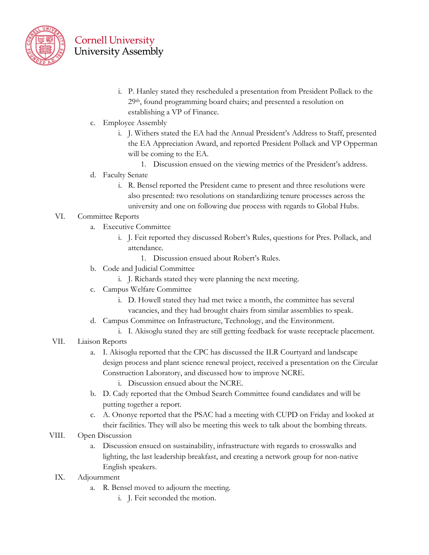

### **Cornell University University Assembly**

- i. P. Hanley stated they rescheduled a presentation from President Pollack to the 29th, found programming board chairs; and presented a resolution on establishing a VP of Finance.
- c. Employee Assembly
	- i. J. Withers stated the EA had the Annual President's Address to Staff, presented the EA Appreciation Award, and reported President Pollack and VP Opperman will be coming to the EA.
		- 1. Discussion ensued on the viewing metrics of the President's address.
- d. Faculty Senate
	- i. R. Bensel reported the President came to present and three resolutions were also presented: two resolutions on standardizing tenure processes across the university and one on following due process with regards to Global Hubs.

#### VI. Committee Reports

- a. Executive Committee
	- i. J. Feit reported they discussed Robert's Rules, questions for Pres. Pollack, and attendance.
		- 1. Discussion ensued about Robert's Rules.
- b. Code and Judicial Committee
	- i. J. Richards stated they were planning the next meeting.
- c. Campus Welfare Committee
	- i. D. Howell stated they had met twice a month, the committee has several vacancies, and they had brought chairs from similar assemblies to speak.
- d. Campus Committee on Infrastructure, Technology, and the Environment.
	- i. I. Akisoglu stated they are still getting feedback for waste receptacle placement.
- VII. Liaison Reports
	- a. I. Akisoglu reported that the CPC has discussed the ILR Courtyard and landscape design process and plant science renewal project, received a presentation on the Circular Construction Laboratory, and discussed how to improve NCRE.
		- i. Discussion ensued about the NCRE.
	- b. D. Cady reported that the Ombud Search Committee found candidates and will be putting together a report.
	- c. A. Ononye reported that the PSAC had a meeting with CUPD on Friday and looked at their facilities. They will also be meeting this week to talk about the bombing threats.

#### VIII. Open Discussion

- a. Discussion ensued on sustainability, infrastructure with regards to crosswalks and lighting, the last leadership breakfast, and creating a network group for non-native English speakers.
- IX. Adjournment
	- a. R. Bensel moved to adjourn the meeting.
		- i. J. Feit seconded the motion.